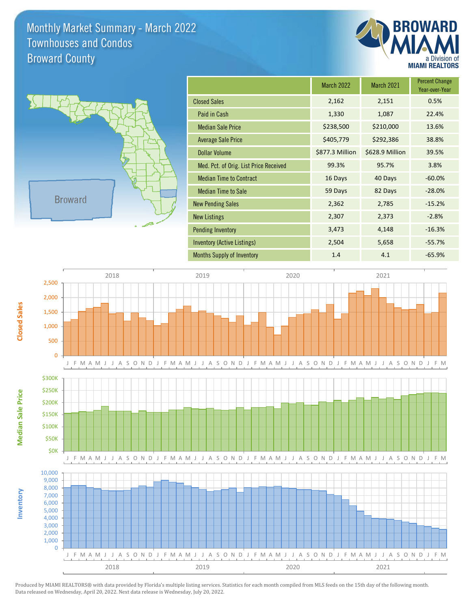Monthly Market Summary - March 2022 Broward County Townhouses and Condos





**Inventory**

**Median Sale Price**

**Median Sale Price** 

**Closed Sales**

|                                        | <b>March 2022</b> | <b>March 2021</b> | <b>Percent Change</b><br>Year-over-Year |
|----------------------------------------|-------------------|-------------------|-----------------------------------------|
| <b>Closed Sales</b>                    | 2,162             | 2,151             | 0.5%                                    |
| Paid in Cash                           | 1,330             | 1,087             | 22.4%                                   |
| <b>Median Sale Price</b>               | \$238,500         | \$210,000         | 13.6%                                   |
| <b>Average Sale Price</b>              | \$405,779         | \$292,386         | 38.8%                                   |
| Dollar Volume                          | \$877.3 Million   | \$628.9 Million   | 39.5%                                   |
| Med. Pct. of Orig. List Price Received | 99.3%             | 95.7%             | 3.8%                                    |
| <b>Median Time to Contract</b>         | 16 Days           | 40 Days           | $-60.0%$                                |
| <b>Median Time to Sale</b>             | 59 Days           | 82 Days           | $-28.0%$                                |
| <b>New Pending Sales</b>               | 2,362             | 2,785             | $-15.2%$                                |
| <b>New Listings</b>                    | 2,307             | 2,373             | $-2.8%$                                 |
| <b>Pending Inventory</b>               | 3,473             | 4,148             | $-16.3%$                                |
| Inventory (Active Listings)            | 2,504             | 5,658             | $-55.7%$                                |
| <b>Months Supply of Inventory</b>      | 1.4               | 4.1               | $-65.9%$                                |



Produced by MIAMI REALTORS® with data provided by Florida's multiple listing services. Statistics for each month compiled from MLS feeds on the 15th day of the following month. Data released on Wednesday, April 20, 2022. Next data release is Wednesday, July 20, 2022.